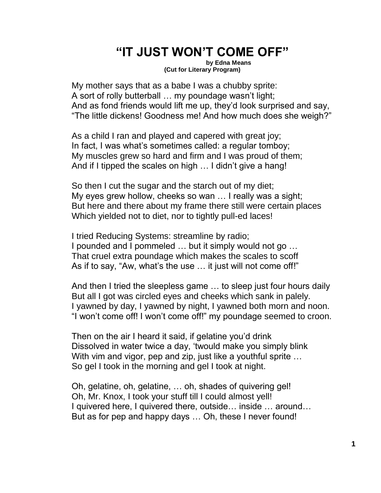## **"IT JUST WON'T COME OFF"**

**by Edna Means (Cut for Literary Program)**

My mother says that as a babe I was a chubby sprite: A sort of rolly butterball … my poundage wasn't light; And as fond friends would lift me up, they'd look surprised and say, "The little dickens! Goodness me! And how much does she weigh?"

As a child I ran and played and capered with great joy; In fact, I was what's sometimes called: a regular tomboy; My muscles grew so hard and firm and I was proud of them; And if I tipped the scales on high … I didn't give a hang!

So then I cut the sugar and the starch out of my diet; My eyes grew hollow, cheeks so wan … I really was a sight; But here and there about my frame there still were certain places Which yielded not to diet, nor to tightly pull-ed laces!

I tried Reducing Systems: streamline by radio; I pounded and I pommeled … but it simply would not go … That cruel extra poundage which makes the scales to scoff As if to say, "Aw, what's the use … it just will not come off!"

And then I tried the sleepless game … to sleep just four hours daily But all I got was circled eyes and cheeks which sank in palely. I yawned by day, I yawned by night, I yawned both morn and noon. "I won't come off! I won't come off!" my poundage seemed to croon.

Then on the air I heard it said, if gelatine you'd drink Dissolved in water twice a day, 'twould make you simply blink With vim and vigor, pep and zip, just like a youthful sprite ... So gel I took in the morning and gel I took at night.

Oh, gelatine, oh, gelatine, … oh, shades of quivering gel! Oh, Mr. Knox, I took your stuff till I could almost yell! I quivered here, I quivered there, outside… inside … around… But as for pep and happy days … Oh, these I never found!